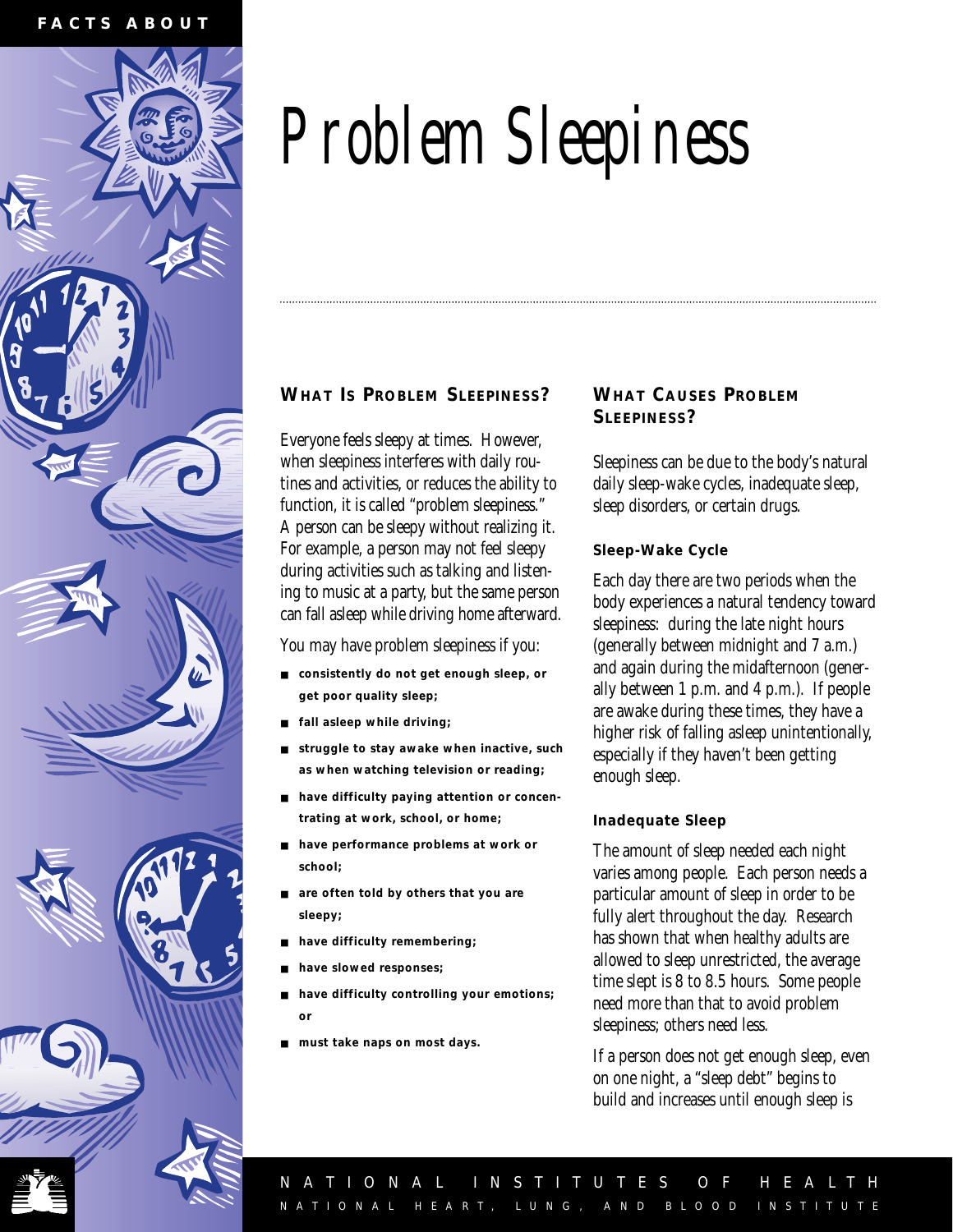

# *Problem Sleepiness*

## **WHAT IS PROBLEM SLEEPINESS?**

Everyone feels sleepy at times. However, when sleepiness interferes with daily routines and activities, or reduces the ability to function, it is called "problem sleepiness." A person can be sleepy without realizing it. For example, a person may not feel sleepy during activities such as talking and listening to music at a party, but the same person can fall asleep while driving home afterward.

You may have problem sleepiness if you:

- **consistently do not get enough sleep, or get poor quality sleep;**
- **fall asleep while driving**;
- **struggle to stay awake when inactive, such as when watching television or reading;**
- have difficulty paying attention or concen**trating at work, school, or home;**
- have performance problems at work or **school;**
- **are often told by others that you are sleepy;**
- have difficulty remembering;
- have slowed responses;
- have difficulty controlling your emotions; **or**
- must take naps on most days.

# **WHAT CAUSES PROBLEM SLEEPINESS?**

Sleepiness can be due to the body's natural daily sleep-wake cycles, inadequate sleep, sleep disorders, or certain drugs.

#### **Sleep-Wake Cycle**

Each day there are two periods when the body experiences a natural tendency toward sleepiness: during the late night hours (generally between midnight and 7 a.m.) and again during the midafternoon (generally between 1 p.m. and 4 p.m.). If people are awake during these times, they have a higher risk of falling asleep unintentionally, especially if they haven't been getting enough sleep.

#### **Inadequate Sleep**

The amount of sleep needed each night varies among people. Each person needs a particular amount of sleep in order to be fully alert throughout the day. Research has shown that when healthy adults are allowed to sleep unrestricted, the average time slept is 8 to 8.5 hours. Some people need more than that to avoid problem sleepiness; others need less.

If a person does not get enough sleep, even on one night, a "sleep debt" begins to build and increases until enough sleep is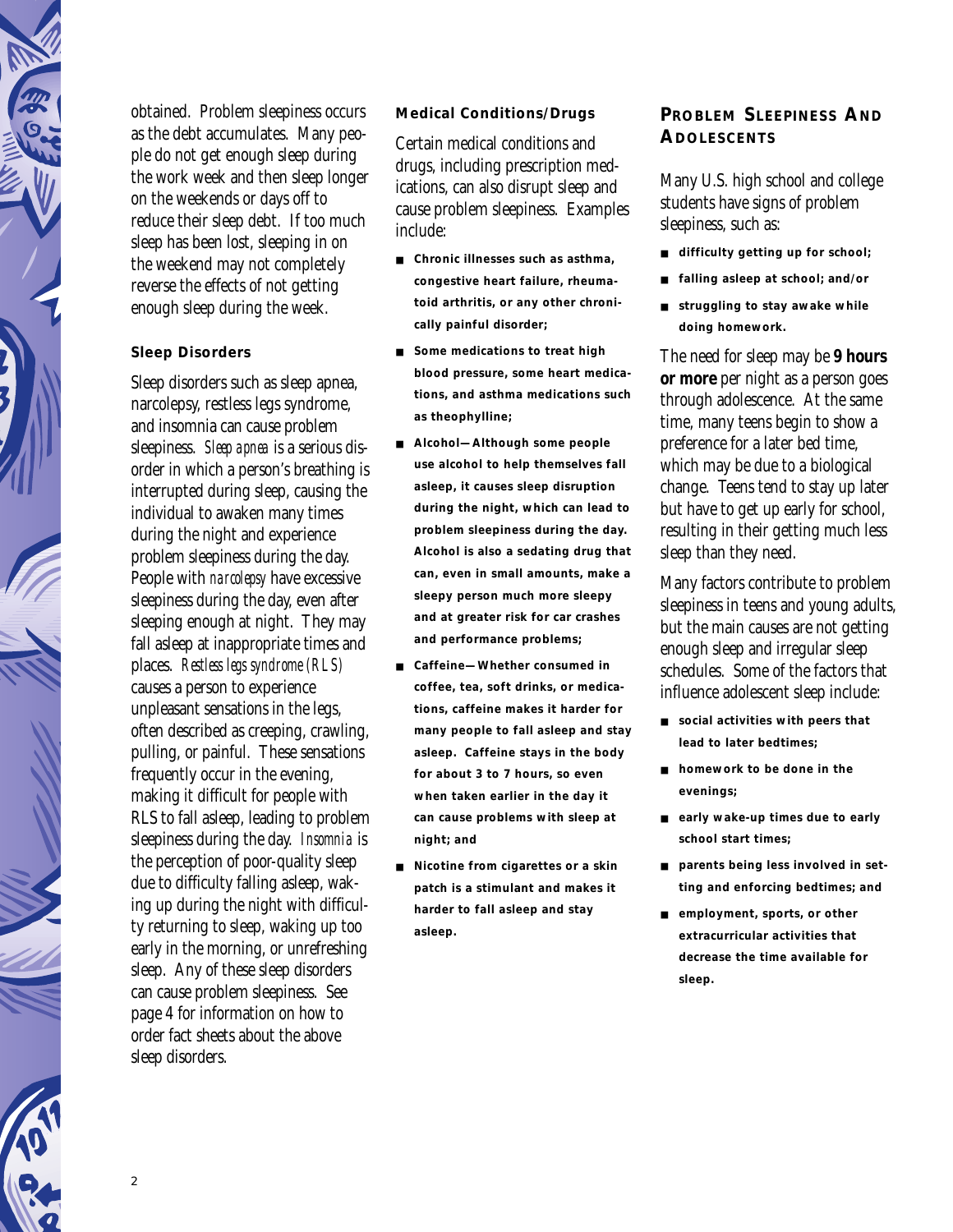obtained. Problem sleepiness occurs as the debt accumulates. Many people do not get enough sleep during the work week and then sleep longer on the weekends or days off to reduce their sleep debt. If too much sleep has been lost, sleeping in on the weekend may not completely reverse the effects of not getting enough sleep during the week.

## **Sleep Disorders**

Sleep disorders such as sleep apnea, narcolepsy, restless legs syndrome, and insomnia can cause problem sleepiness. *Sleep apnea* is a serious disorder in which a person's breathing is interrupted during sleep, causing the individual to awaken many times during the night and experience problem sleepiness during the day. People with *narcolepsy* have excessive sleepiness during the day, even after sleeping enough at night. They may fall asleep at inappropriate times and places. *Restless legs syndrome (RLS)* causes a person to experience unpleasant sensations in the legs, often described as creeping, crawling, pulling, or painful. These sensations frequently occur in the evening, making it difficult for people with RLS to fall asleep, leading to problem sleepiness during the day. *Insomnia* is the perception of poor-quality sleep due to difficulty falling asleep, waking up during the night with difficulty returning to sleep, waking up too early in the morning, or unrefreshing sleep. Any of these sleep disorders can cause problem sleepiness. See page 4 for information on how to order fact sheets about the above sleep disorders.

#### **Medical Conditions/Drugs**

Certain medical conditions and drugs, including prescription medications, can also disrupt sleep and cause problem sleepiness. Examples include:

- **Chronic illnesses such as asthma, congestive heart failure, rheumatoid arthritis, or any other chronically painful disorder;**
- **Some medications to treat high blood pressure, some heart medications, and asthma medications such as theophylline;**
- **Alcohol—Although some people use alcohol to help themselves fall asleep, it causes sleep disruption during the night, which can lead to problem sleepiness during the day. Alcohol is also a sedating drug that can, even in small amounts, make a sleepy person much more sleepy and at greater risk for car crashes and performance problems;**
- **Caffeine—Whether consumed in coffee, tea, soft drinks, or medications, caffeine makes it harder for many people to fall asleep and stay asleep. Caffeine stays in the body for about 3 to 7 hours, so even when taken earlier in the day it can cause problems with sleep at night; and**
- **Nicotine from cigarettes or a skin patch is a stimulant and makes it harder to fall asleep and stay asleep.**

# **PROBLEM SLEEPINESS AND ADOLESCENTS**

Many U.S. high school and college students have signs of problem sleepiness, such as:

- **difficulty getting up for school;**
- **falling asleep at school; and/or**
- **struggling to stay awake while doing homework.**

The need for sleep may be **9 hours or more** per night as a person goes through adolescence. At the same time, many teens begin to show a preference for a later bed time, which may be due to a biological change. Teens tend to stay up later but have to get up early for school, resulting in their getting much less sleep than they need.

Many factors contribute to problem sleepiness in teens and young adults, but the main causes are not getting enough sleep and irregular sleep schedules. Some of the factors that influence adolescent sleep include:

- **social activities with peers that lead to later bedtimes;**
- **homework to be done in the evenings;**
- **early wake-up times due to early school start times;**
- parents being less involved in set**ting and enforcing bedtimes; and**
- **employment, sports, or other extracurricular activities that decrease the time available for sleep.**

2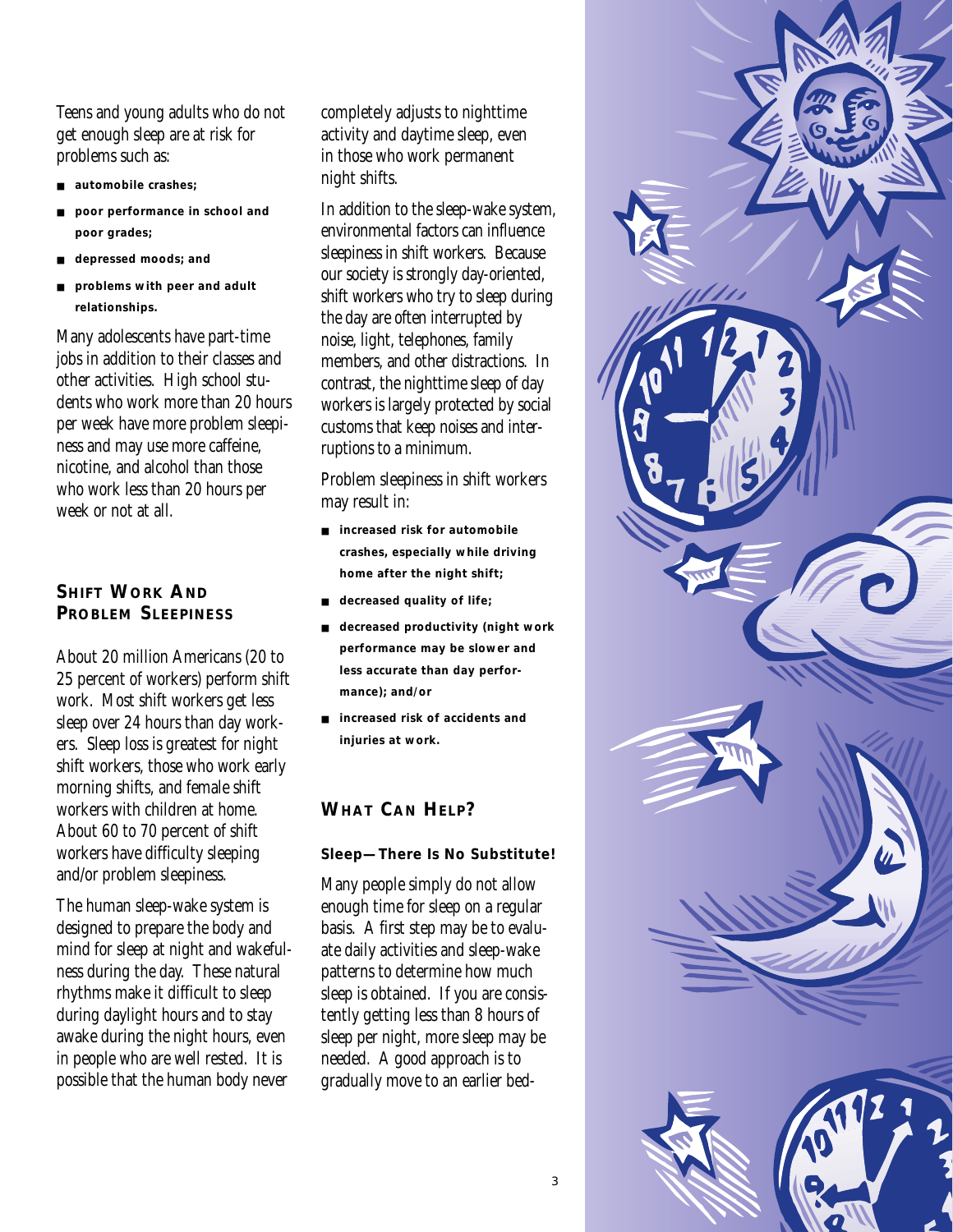Teens and young adults who do not get enough sleep are at risk for problems such as:

- **automobile crashes;**
- poor performance in school and **poor grades;**
- **depressed moods; and**
- **problems** with peer and adult **relationships.**

Many adolescents have part-time jobs in addition to their classes and other activities. High school students who work more than 20 hours per week have more problem sleepiness and may use more caffeine, nicotine, and alcohol than those who work less than 20 hours per week or not at all.

# **SHIFT WORK AND PROBLEM SLEEPINESS**

About 20 million Americans (20 to 25 percent of workers) perform shift work. Most shift workers get less sleep over 24 hours than day workers. Sleep loss is greatest for night shift workers, those who work early morning shifts, and female shift workers with children at home. About 60 to 70 percent of shift workers have difficulty sleeping and/or problem sleepiness.

The human sleep-wake system is designed to prepare the body and mind for sleep at night and wakefulness during the day. These natural rhythms make it difficult to sleep during daylight hours and to stay awake during the night hours, even in people who are well rested. It is possible that the human body never

completely adjusts to nighttime activity and daytime sleep, even in those who work permanent night shifts.

In addition to the sleep-wake system, environmental factors can influence sleepiness in shift workers. Because our society is strongly day-oriented, shift workers who try to sleep during the day are often interrupted by noise, light, telephones, family members, and other distractions. In contrast, the nighttime sleep of day workers is largely protected by social customs that keep noises and interruptions to a minimum.

Problem sleepiness in shift workers may result in:

- **increased risk for automobile crashes, especially while driving home after the night shift;**
- **decreased quality of life;**
- **decreased productivity (night work performance may be slower and less accurate than day performance); and/or**
- **increased risk of accidents and injuries at work.**

# **WHAT CAN HELP?**

## **Sleep—There Is No Substitute!**

Many people simply do not allow enough time for sleep on a regular basis. A first step may be to evaluate daily activities and sleep-wake patterns to determine how much sleep is obtained. If you are consistently getting less than 8 hours of sleep per night, more sleep may be needed. A good approach is to gradually move to an earlier bed-